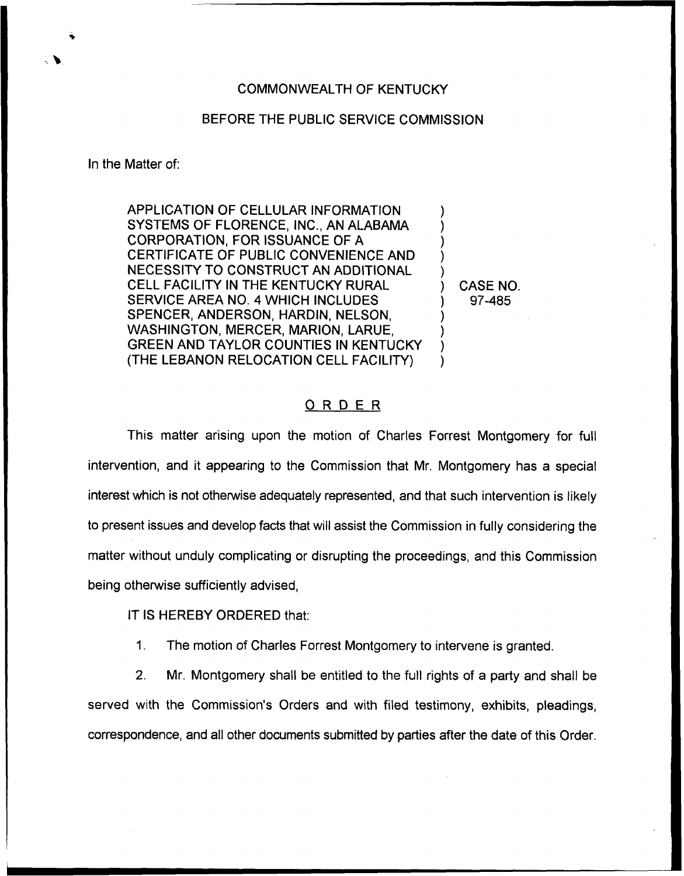## COMMONWEALTH OF KENTUCKY

## BEFORE THE PUBLIC SERVICE COMMISSION

In the Matter of:

APPLICATION OF CELLULAR INFORMATION SYSTEMS OF FLORENCE, INC., AN ALABAMA CORPORATION, FOR ISSUANCE OF A CERTIFICATE OF PUBLIC CONVENIENCE AND NECESSITY TO CONSTRUCT AN ADDITIONAL CELL FACILITY IN THE KENTUCKY RURAL SERVICE AREA NO. 4 WHICH INCLUDES SPENCER, ANDERSON, HARDIN, NELSON, WASHINGTON, MERCER, MARION, LARUE, GREEN AND TAYLOR COUNTIES IN KENTUCKY (THE LEBANON RELOCATION CELL FACILITY)

) CASE NO. 97-485

) ) ) ) )

) ) ) )

## ORDER

This matter arising upon the motion of Charles Forrest Montgomery for full intervention, and it appearing to the Commission that Mr. Montgomery has a special interest which is not otherwise adequately represented, and that such intervention is likely to present issues and develop facts that will assist the Commission in fully considering the matter without unduly complicating or disrupting the proceedings, and this Commission being otherwise sufficiently advised,

IT IS HEREBY ORDERED that:

1. The motion of Charles Forrest Montgomery to intervene is granted.

2. Mr. Montgomery shall be entitled to the full rights of a party and shall be served with the Commission's Orders and with filed testimony, exhibits, pleadings, correspondence, and all other documents submitted by parties after the date of this Order.